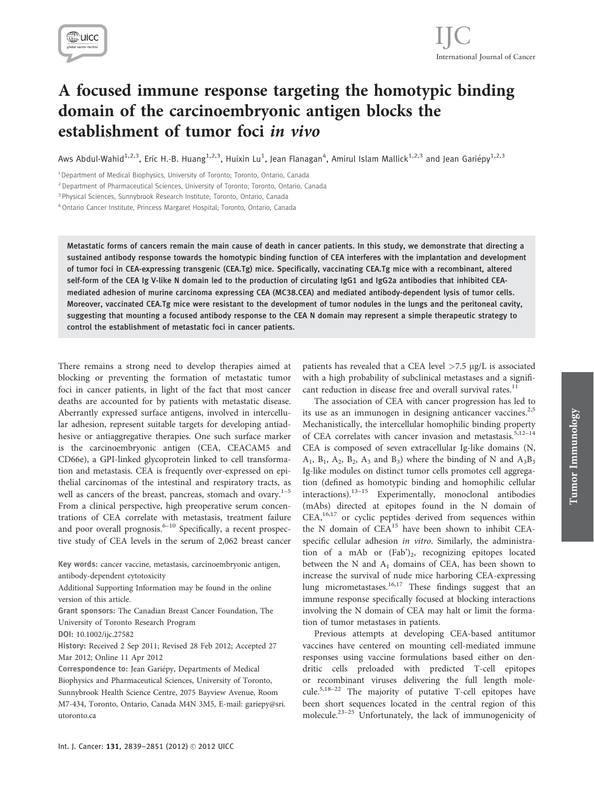

# A focused immune response targeting the homotypic binding domain of the carcinoembryonic antigen blocks the establishment of tumor foci in vivo

Aws Abdul-Wahid<sup>1,2,3</sup>, Eric H.-B. Huang<sup>1,2,3</sup>, Huixin Lu<sup>1</sup>, Jean Flanagan<sup>4</sup>, Amirul Islam Mallick<sup>1,2,3</sup> and Jean Gariépy<sup>1,2,3</sup>

<sup>2</sup> Department of Pharmaceutical Sciences, University of Toronto; Toronto, Ontario, Canada

<sup>3</sup> Physical Sciences, Sunnybrook Research Institute; Toronto, Ontario, Canada

4Ontario Cancer Institute, Princess Margaret Hospital; Toronto, Ontario, Canada

Metastatic forms of cancers remain the main cause of death in cancer patients. In this study, we demonstrate that directing a sustained antibody response towards the homotypic binding function of CEA interferes with the implantation and development of tumor foci in CEA-expressing transgenic (CEA.Tg) mice. Specifically, vaccinating CEA.Tg mice with a recombinant, altered self-form of the CEA Ig V-like N domain led to the production of circulating IgG1 and IgG2a antibodies that inhibited CEAmediated adhesion of murine carcinoma expressing CEA (MC38.CEA) and mediated antibody-dependent lysis of tumor cells. Moreover, vaccinated CEA.Tg mice were resistant to the development of tumor nodules in the lungs and the peritoneal cavity, suggesting that mounting a focused antibody response to the CEA N domain may represent a simple therapeutic strategy to control the establishment of metastatic foci in cancer patients.

There remains a strong need to develop therapies aimed at blocking or preventing the formation of metastatic tumor foci in cancer patients, in light of the fact that most cancer deaths are accounted for by patients with metastatic disease. Aberrantly expressed surface antigens, involved in intercellular adhesion, represent suitable targets for developing antiadhesive or antiaggregative therapies. One such surface marker is the carcinoembryonic antigen (CEA, CEACAM5 and CD66e), a GPI-linked glycoprotein linked to cell transformation and metastasis. CEA is frequently over-expressed on epithelial carcinomas of the intestinal and respiratory tracts, as well as cancers of the breast, pancreas, stomach and ovary. $1-5$ From a clinical perspective, high preoperative serum concentrations of CEA correlate with metastasis, treatment failure and poor overall prognosis. $6-10$  Specifically, a recent prospective study of CEA levels in the serum of 2,062 breast cancer

Key words: cancer vaccine, metastasis, carcinoembryonic antigen, antibody-dependent cytotoxicity

Additional Supporting Information may be found in the online version of this article.

Grant sponsors: The Canadian Breast Cancer Foundation, The University of Toronto Research Program

DOI: 10.1002/ijc.27582

History: Received 2 Sep 2011; Revised 28 Feb 2012; Accepted 27 Mar 2012; Online 11 Apr 2012

Correspondence to: Jean Gariepy, Departments of Medical Biophysics and Pharmaceutical Sciences, University of Toronto, Sunnybrook Health Science Centre, 2075 Bayview Avenue, Room M7-434, Toronto, Ontario, Canada M4N 3M5, E-mail: gariepy@sri. utoronto.ca

patients has revealed that a CEA level  $>7.5 \mu$ g/L is associated with a high probability of subclinical metastases and a significant reduction in disease free and overall survival rates.<sup>11</sup>

The association of CEA with cancer progression has led to its use as an immunogen in designing anticancer vaccines.<sup>2,5</sup> Mechanistically, the intercellular homophilic binding property of CEA correlates with cancer invasion and metastasis.<sup>5,12-14</sup> CEA is composed of seven extracellular Ig-like domains (N,  $A_1$ ,  $B_1$ ,  $A_2$ ,  $B_2$ ,  $A_3$  and  $B_3$ ) where the binding of N and  $A_3B_3$ Ig-like modules on distinct tumor cells promotes cell aggregation (defined as homotypic binding and homophilic cellular interactions). $13-15$  Experimentally, monoclonal antibodies (mAbs) directed at epitopes found in the N domain of  $CEA<sub>1</sub><sup>16,17</sup>$  or cyclic peptides derived from sequences within the N domain of CEA<sup>15</sup> have been shown to inhibit CEAspecific cellular adhesion in vitro. Similarly, the administration of a mAb or  $(Fab')_2$ , recognizing epitopes located between the N and  $A_1$  domains of CEA, has been shown to increase the survival of nude mice harboring CEA-expressing lung micrometastases.<sup>16,17</sup> These findings suggest that an immune response specifically focused at blocking interactions involving the N domain of CEA may halt or limit the formation of tumor metastases in patients.

Previous attempts at developing CEA-based antitumor vaccines have centered on mounting cell-mediated immune responses using vaccine formulations based either on dendritic cells preloaded with predicted T-cell epitopes or recombinant viruses delivering the full length molecule.5,18–22 The majority of putative T-cell epitopes have been short sequences located in the central region of this molecule.23–25 Unfortunately, the lack of immunogenicity of

<sup>&</sup>lt;sup>1</sup> Department of Medical Biophysics, University of Toronto; Toronto, Ontario, Canada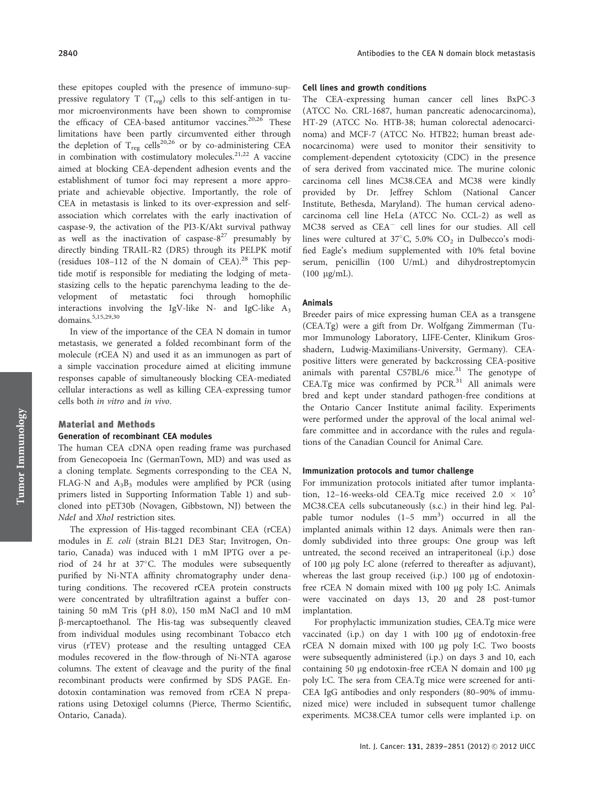these epitopes coupled with the presence of immuno-suppressive regulatory T ( $T_{\text{res}}$ ) cells to this self-antigen in tumor microenvironments have been shown to compromise the efficacy of CEA-based antitumor vaccines.<sup>20,26</sup> These limitations have been partly circumvented either through the depletion of  $T_{reg}$  cells<sup>20,26</sup> or by co-administering CEA in combination with costimulatory molecules.<sup>21,22</sup> A vaccine aimed at blocking CEA-dependent adhesion events and the establishment of tumor foci may represent a more appropriate and achievable objective. Importantly, the role of CEA in metastasis is linked to its over-expression and selfassociation which correlates with the early inactivation of caspase-9, the activation of the PI3-K/Akt survival pathway as well as the inactivation of caspase- $8^{27}$  presumably by directly binding TRAIL-R2 (DR5) through its PELPK motif (residues 108-112 of the N domain of CEA).<sup>28</sup> This peptide motif is responsible for mediating the lodging of metastasizing cells to the hepatic parenchyma leading to the development of metastatic foci through homophilic interactions involving the IgV-like N- and IgC-like  $A_3$ domains.<sup>5,15,29,30</sup>

In view of the importance of the CEA N domain in tumor metastasis, we generated a folded recombinant form of the molecule (rCEA N) and used it as an immunogen as part of a simple vaccination procedure aimed at eliciting immune responses capable of simultaneously blocking CEA-mediated cellular interactions as well as killing CEA-expressing tumor cells both in vitro and in vivo.

## Material and Methods Generation of recombinant CEA modules

The human CEA cDNA open reading frame was purchased from Genecopoeia Inc (GermanTown, MD) and was used as a cloning template. Segments corresponding to the CEA N, FLAG-N and  $A_3B_3$  modules were amplified by PCR (using primers listed in Supporting Information Table 1) and subcloned into pET30b (Novagen, Gibbstown, NJ) between the NdeI and XhoI restriction sites.

The expression of His-tagged recombinant CEA (rCEA) modules in E. coli (strain BL21 DE3 Star; Invitrogen, Ontario, Canada) was induced with 1 mM IPTG over a period of 24 hr at 37°C. The modules were subsequently purified by Ni-NTA affinity chromatography under denaturing conditions. The recovered rCEA protein constructs were concentrated by ultrafiltration against a buffer containing 50 mM Tris (pH 8.0), 150 mM NaCl and 10 mM b-mercaptoethanol. The His-tag was subsequently cleaved from individual modules using recombinant Tobacco etch virus (rTEV) protease and the resulting untagged CEA modules recovered in the flow-through of Ni-NTA agarose columns. The extent of cleavage and the purity of the final recombinant products were confirmed by SDS PAGE. Endotoxin contamination was removed from rCEA N preparations using Detoxigel columns (Pierce, Thermo Scientific, Ontario, Canada).

#### Cell lines and growth conditions

The CEA-expressing human cancer cell lines BxPC-3 (ATCC No. CRL-1687, human pancreatic adenocarcinoma), HT-29 (ATCC No. HTB-38; human colorectal adenocarcinoma) and MCF-7 (ATCC No. HTB22; human breast adenocarcinoma) were used to monitor their sensitivity to complement-dependent cytotoxicity (CDC) in the presence of sera derived from vaccinated mice. The murine colonic carcinoma cell lines MC38.CEA and MC38 were kindly provided by Dr. Jeffrey Schlom (National Cancer Institute, Bethesda, Maryland). The human cervical adenocarcinoma cell line HeLa (ATCC No. CCL-2) as well as MC38 served as CEA<sup>-</sup> cell lines for our studies. All cell lines were cultured at  $37^{\circ}$ C, 5.0% CO<sub>2</sub> in Dulbecco's modified Eagle's medium supplemented with 10% fetal bovine serum, penicillin (100 U/mL) and dihydrostreptomycin  $(100 \mu g/mL)$ .

#### Animals

Breeder pairs of mice expressing human CEA as a transgene (CEA.Tg) were a gift from Dr. Wolfgang Zimmerman (Tumor Immunology Laboratory, LIFE-Center, Klinikum Grosshadern, Ludwig-Maximilians-University, Germany). CEApositive litters were generated by backcrossing CEA-positive animals with parental C57BL/6 mice. $31$  The genotype of CEA.Tg mice was confirmed by  $PCR<sup>31</sup>$  All animals were bred and kept under standard pathogen-free conditions at the Ontario Cancer Institute animal facility. Experiments were performed under the approval of the local animal welfare committee and in accordance with the rules and regulations of the Canadian Council for Animal Care.

## Immunization protocols and tumor challenge

For immunization protocols initiated after tumor implantation, 12–16-weeks-old CEA.Tg mice received  $2.0 \times 10^5$ MC38.CEA cells subcutaneously (s.c.) in their hind leg. Palpable tumor nodules  $(1-5 \text{ mm}^3)$  occurred in all the implanted animals within 12 days. Animals were then randomly subdivided into three groups: One group was left untreated, the second received an intraperitoneal (i.p.) dose of 100 lg poly I:C alone (referred to thereafter as adjuvant), whereas the last group received (i.p.) 100 µg of endotoxinfree rCEA N domain mixed with 100 µg poly I:C. Animals were vaccinated on days 13, 20 and 28 post-tumor implantation.

For prophylactic immunization studies, CEA.Tg mice were vaccinated (i.p.) on day 1 with  $100 \mu g$  of endotoxin-free rCEA N domain mixed with 100 µg poly I:C. Two boosts were subsequently administered (i.p.) on days 3 and 10, each containing 50  $\mu$ g endotoxin-free rCEA N domain and 100  $\mu$ g poly I:C. The sera from CEA.Tg mice were screened for anti-CEA IgG antibodies and only responders (80–90% of immunized mice) were included in subsequent tumor challenge experiments. MC38.CEA tumor cells were implanted i.p. on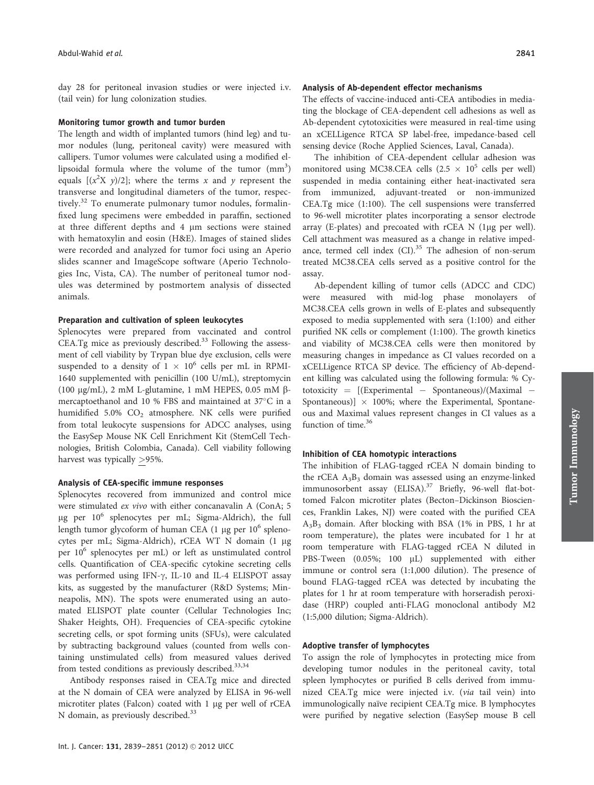day 28 for peritoneal invasion studies or were injected i.v. (tail vein) for lung colonization studies.

### Monitoring tumor growth and tumor burden

The length and width of implanted tumors (hind leg) and tumor nodules (lung, peritoneal cavity) were measured with callipers. Tumor volumes were calculated using a modified ellipsoidal formula where the volume of the tumor  $\text{(mm)}^3$ ) equals  $[(x^2X y)/2]$ ; where the terms x and y represent the transverse and longitudinal diameters of the tumor, respectively.<sup>32</sup> To enumerate pulmonary tumor nodules, formalinfixed lung specimens were embedded in paraffin, sectioned at three different depths and 4 lm sections were stained with hematoxylin and eosin (H&E). Images of stained slides were recorded and analyzed for tumor foci using an Aperio slides scanner and ImageScope software (Aperio Technologies Inc, Vista, CA). The number of peritoneal tumor nodules was determined by postmortem analysis of dissected animals.

## Preparation and cultivation of spleen leukocytes

Splenocytes were prepared from vaccinated and control CEA.Tg mice as previously described.<sup>33</sup> Following the assessment of cell viability by Trypan blue dye exclusion, cells were suspended to a density of  $1 \times 10^6$  cells per mL in RPMI-1640 supplemented with penicillin (100 U/mL), streptomycin (100  $\mu$ g/mL), 2 mM L-glutamine, 1 mM HEPES, 0.05 mM  $\beta$ mercaptoethanol and 10 % FBS and maintained at  $37^{\circ}$ C in a humidified  $5.0\%$  CO<sub>2</sub> atmosphere. NK cells were purified from total leukocyte suspensions for ADCC analyses, using the EasySep Mouse NK Cell Enrichment Kit (StemCell Technologies, British Colombia, Canada). Cell viability following harvest was typically >95%.

## Analysis of CEA-specific immune responses

Splenocytes recovered from immunized and control mice were stimulated ex vivo with either concanavalin A (ConA; 5  $\mu$ g per 10<sup>6</sup> splenocytes per mL; Sigma-Aldrich), the full length tumor glycoform of human CEA (1  $\mu$ g per 10<sup>6</sup> splenocytes per mL; Sigma-Aldrich), rCEA WT N domain (1 µg per 106 splenocytes per mL) or left as unstimulated control cells. Quantification of CEA-specific cytokine secreting cells was performed using IFN- $\gamma$ , IL-10 and IL-4 ELISPOT assay kits, as suggested by the manufacturer (R&D Systems; Minneapolis, MN). The spots were enumerated using an automated ELISPOT plate counter (Cellular Technologies Inc; Shaker Heights, OH). Frequencies of CEA-specific cytokine secreting cells, or spot forming units (SFUs), were calculated by subtracting background values (counted from wells containing unstimulated cells) from measured values derived from tested conditions as previously described.<sup>33,34</sup>

Antibody responses raised in CEA.Tg mice and directed at the N domain of CEA were analyzed by ELISA in 96-well microtiter plates (Falcon) coated with 1 µg per well of rCEA N domain, as previously described.<sup>33</sup>

#### Analysis of Ab-dependent effector mechanisms

The effects of vaccine-induced anti-CEA antibodies in mediating the blockage of CEA-dependent cell adhesions as well as Ab-dependent cytotoxicities were measured in real-time using an xCELLigence RTCA SP label-free, impedance-based cell sensing device (Roche Applied Sciences, Laval, Canada).

The inhibition of CEA-dependent cellular adhesion was monitored using MC38.CEA cells  $(2.5 \times 10^5 \text{ cells per well})$ suspended in media containing either heat-inactivated sera from immunized, adjuvant-treated or non-immunized CEA.Tg mice (1:100). The cell suspensions were transferred to 96-well microtiter plates incorporating a sensor electrode array (E-plates) and precoated with rCEA  $N$  (1 $\mu$ g per well). Cell attachment was measured as a change in relative impedance, termed cell index  $(Cl).^{35}$  The adhesion of non-serum treated MC38.CEA cells served as a positive control for the assay.

Ab-dependent killing of tumor cells (ADCC and CDC) were measured with mid-log phase monolayers of MC38.CEA cells grown in wells of E-plates and subsequently exposed to media supplemented with sera (1:100) and either purified NK cells or complement (1:100). The growth kinetics and viability of MC38.CEA cells were then monitored by measuring changes in impedance as CI values recorded on a xCELLigence RTCA SP device. The efficiency of Ab-dependent killing was calculated using the following formula: % Cy $totoxicity = [(Experimental - Spontaneous)/(Maximal -$ Spontaneous)]  $\times$  100%; where the Experimental, Spontaneous and Maximal values represent changes in CI values as a function of time.<sup>36</sup>

#### Inhibition of CEA homotypic interactions

The inhibition of FLAG-tagged rCEA N domain binding to the rCEA  $A_3B_3$  domain was assessed using an enzyme-linked immunosorbent assay (ELISA). $37$  Briefly, 96-well flat-bottomed Falcon microtiter plates (Becton–Dickinson Biosciences, Franklin Lakes, NJ) were coated with the purified CEA A3B3 domain. After blocking with BSA (1% in PBS, 1 hr at room temperature), the plates were incubated for 1 hr at room temperature with FLAG-tagged rCEA N diluted in PBS-Tween  $(0.05\%; 100 \mu L)$  supplemented with either immune or control sera (1:1,000 dilution). The presence of bound FLAG-tagged rCEA was detected by incubating the plates for 1 hr at room temperature with horseradish peroxidase (HRP) coupled anti-FLAG monoclonal antibody M2 (1:5,000 dilution; Sigma-Aldrich).

## Adoptive transfer of lymphocytes

To assign the role of lymphocytes in protecting mice from developing tumor nodules in the peritoneal cavity, total spleen lymphocytes or purified B cells derived from immunized CEA.Tg mice were injected i.v. (via tail vein) into immunologically naïve recipient CEA.Tg mice. B lymphocytes were purified by negative selection (EasySep mouse B cell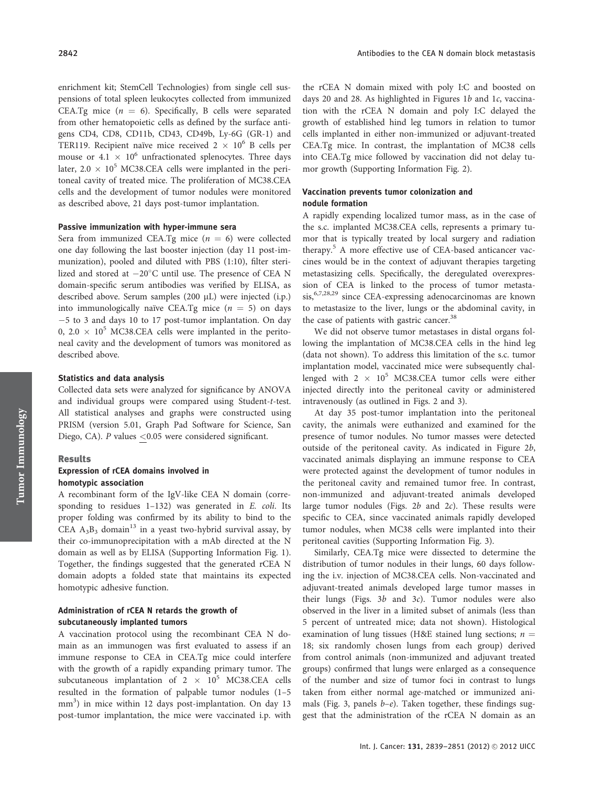enrichment kit; StemCell Technologies) from single cell suspensions of total spleen leukocytes collected from immunized CEA.Tg mice  $(n = 6)$ . Specifically, B cells were separated from other hematopoietic cells as defined by the surface antigens CD4, CD8, CD11b, CD43, CD49b, Ly-6G (GR-1) and TER119. Recipient naïve mice received  $2 \times 10^6$  B cells per mouse or 4.1  $\times$  10<sup>6</sup> unfractionated splenocytes. Three days later,  $2.0 \times 10^5$  MC38.CEA cells were implanted in the peritoneal cavity of treated mice. The proliferation of MC38.CEA cells and the development of tumor nodules were monitored as described above, 21 days post-tumor implantation.

## Passive immunization with hyper-immune sera

Sera from immunized CEA.Tg mice  $(n = 6)$  were collected one day following the last booster injection (day 11 post-immunization), pooled and diluted with PBS (1:10), filter sterilized and stored at  $-20^{\circ}$ C until use. The presence of CEA N domain-specific serum antibodies was verified by ELISA, as described above. Serum samples  $(200 \mu L)$  were injected  $(i.p.)$ into immunologically naïve CEA.Tg mice  $(n = 5)$  on days -5 to 3 and days 10 to 17 post-tumor implantation. On day 0, 2.0  $\times$  10<sup>5</sup> MC38.CEA cells were implanted in the peritoneal cavity and the development of tumors was monitored as described above.

## Statistics and data analysis

Collected data sets were analyzed for significance by ANOVA and individual groups were compared using Student-t-test. All statistical analyses and graphs were constructed using PRISM (version 5.01, Graph Pad Software for Science, San Diego, CA). P values <0.05 were considered significant.

#### Results

## Expression of rCEA domains involved in homotypic association

A recombinant form of the IgV-like CEA N domain (corresponding to residues 1–132) was generated in E. coli. Its proper folding was confirmed by its ability to bind to the CEA  $A_3B_3$  domain<sup>13</sup> in a yeast two-hybrid survival assay, by their co-immunoprecipitation with a mAb directed at the N domain as well as by ELISA (Supporting Information Fig. 1). Together, the findings suggested that the generated rCEA N domain adopts a folded state that maintains its expected homotypic adhesive function.

## Administration of rCEA N retards the growth of subcutaneously implanted tumors

A vaccination protocol using the recombinant CEA N domain as an immunogen was first evaluated to assess if an immune response to CEA in CEA.Tg mice could interfere with the growth of a rapidly expanding primary tumor. The subcutaneous implantation of 2  $\times$  10<sup>5</sup> MC38.CEA cells resulted in the formation of palpable tumor nodules (1–5 mm<sup>3</sup>) in mice within 12 days post-implantation. On day 13 post-tumor implantation, the mice were vaccinated i.p. with

the rCEA N domain mixed with poly I:C and boosted on days 20 and 28. As highlighted in Figures 1b and 1c, vaccination with the rCEA N domain and poly I:C delayed the growth of established hind leg tumors in relation to tumor cells implanted in either non-immunized or adjuvant-treated CEA.Tg mice. In contrast, the implantation of MC38 cells into CEA.Tg mice followed by vaccination did not delay tumor growth (Supporting Information Fig. 2).

## Vaccination prevents tumor colonization and nodule formation

A rapidly expending localized tumor mass, as in the case of the s.c. implanted MC38.CEA cells, represents a primary tumor that is typically treated by local surgery and radiation therapy.<sup>5</sup> A more effective use of CEA-based anticancer vaccines would be in the context of adjuvant therapies targeting metastasizing cells. Specifically, the deregulated overexpression of CEA is linked to the process of tumor metastasis,<sup>6,7,28,29</sup> since CEA-expressing adenocarcinomas are known to metastasize to the liver, lungs or the abdominal cavity, in the case of patients with gastric cancer.<sup>38</sup>

We did not observe tumor metastases in distal organs following the implantation of MC38.CEA cells in the hind leg (data not shown). To address this limitation of the s.c. tumor implantation model, vaccinated mice were subsequently challenged with  $2 \times 10^5$  MC38.CEA tumor cells were either injected directly into the peritoneal cavity or administered intravenously (as outlined in Figs. 2 and 3).

At day 35 post-tumor implantation into the peritoneal cavity, the animals were euthanized and examined for the presence of tumor nodules. No tumor masses were detected outside of the peritoneal cavity. As indicated in Figure 2b, vaccinated animals displaying an immune response to CEA were protected against the development of tumor nodules in the peritoneal cavity and remained tumor free. In contrast, non-immunized and adjuvant-treated animals developed large tumor nodules (Figs.  $2b$  and  $2c$ ). These results were specific to CEA, since vaccinated animals rapidly developed tumor nodules, when MC38 cells were implanted into their peritoneal cavities (Supporting Information Fig. 3).

Similarly, CEA.Tg mice were dissected to determine the distribution of tumor nodules in their lungs, 60 days following the i.v. injection of MC38.CEA cells. Non-vaccinated and adjuvant-treated animals developed large tumor masses in their lungs (Figs.  $3b$  and  $3c$ ). Tumor nodules were also observed in the liver in a limited subset of animals (less than 5 percent of untreated mice; data not shown). Histological examination of lung tissues (H&E stained lung sections;  $n =$ 18; six randomly chosen lungs from each group) derived from control animals (non-immunized and adjuvant treated groups) confirmed that lungs were enlarged as a consequence of the number and size of tumor foci in contrast to lungs taken from either normal age-matched or immunized animals (Fig. 3, panels  $b-e$ ). Taken together, these findings suggest that the administration of the rCEA N domain as an

Tumor Immunology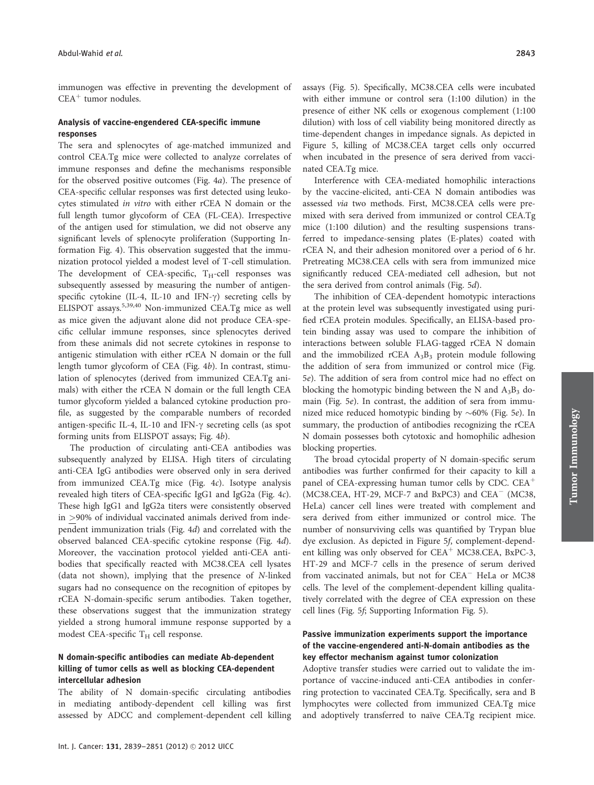immunogen was effective in preventing the development of  $CEA<sup>+</sup>$  tumor nodules.

## Analysis of vaccine-engendered CEA-specific immune responses

The sera and splenocytes of age-matched immunized and control CEA.Tg mice were collected to analyze correlates of immune responses and define the mechanisms responsible for the observed positive outcomes (Fig. 4a). The presence of CEA-specific cellular responses was first detected using leukocytes stimulated in vitro with either rCEA N domain or the full length tumor glycoform of CEA (FL-CEA). Irrespective of the antigen used for stimulation, we did not observe any significant levels of splenocyte proliferation (Supporting Information Fig. 4). This observation suggested that the immunization protocol yielded a modest level of T-cell stimulation. The development of CEA-specific,  $T_H$ -cell responses was subsequently assessed by measuring the number of antigenspecific cytokine (IL-4, IL-10 and IFN- $\gamma$ ) secreting cells by ELISPOT assays.<sup>5,39,40</sup> Non-immunized CEA.Tg mice as well as mice given the adjuvant alone did not produce CEA-specific cellular immune responses, since splenocytes derived from these animals did not secrete cytokines in response to antigenic stimulation with either rCEA N domain or the full length tumor glycoform of CEA (Fig. 4b). In contrast, stimulation of splenocytes (derived from immunized CEA.Tg animals) with either the rCEA N domain or the full length CEA tumor glycoform yielded a balanced cytokine production profile, as suggested by the comparable numbers of recorded antigen-specific IL-4, IL-10 and IFN- $\gamma$  secreting cells (as spot forming units from ELISPOT assays; Fig. 4b).

The production of circulating anti-CEA antibodies was subsequently analyzed by ELISA. High titers of circulating anti-CEA IgG antibodies were observed only in sera derived from immunized CEA.Tg mice (Fig. 4c). Isotype analysis revealed high titers of CEA-specific IgG1 and IgG2a (Fig. 4c). These high IgG1 and IgG2a titers were consistently observed in >90% of individual vaccinated animals derived from independent immunization trials (Fig. 4d) and correlated with the observed balanced CEA-specific cytokine response (Fig. 4d). Moreover, the vaccination protocol yielded anti-CEA antibodies that specifically reacted with MC38.CEA cell lysates (data not shown), implying that the presence of N-linked sugars had no consequence on the recognition of epitopes by rCEA N-domain-specific serum antibodies. Taken together, these observations suggest that the immunization strategy yielded a strong humoral immune response supported by a modest CEA-specific  $T_H$  cell response.

## N domain-specific antibodies can mediate Ab-dependent killing of tumor cells as well as blocking CEA-dependent intercellular adhesion

The ability of N domain-specific circulating antibodies in mediating antibody-dependent cell killing was first assessed by ADCC and complement-dependent cell killing assays (Fig. 5). Specifically, MC38.CEA cells were incubated with either immune or control sera (1:100 dilution) in the presence of either NK cells or exogenous complement (1:100 dilution) with loss of cell viability being monitored directly as time-dependent changes in impedance signals. As depicted in Figure 5, killing of MC38.CEA target cells only occurred when incubated in the presence of sera derived from vaccinated CEA.Tg mice.

Interference with CEA-mediated homophilic interactions by the vaccine-elicited, anti-CEA N domain antibodies was assessed via two methods. First, MC38.CEA cells were premixed with sera derived from immunized or control CEA.Tg mice (1:100 dilution) and the resulting suspensions transferred to impedance-sensing plates (E-plates) coated with rCEA N, and their adhesion monitored over a period of 6 hr. Pretreating MC38.CEA cells with sera from immunized mice significantly reduced CEA-mediated cell adhesion, but not the sera derived from control animals (Fig. 5d).

The inhibition of CEA-dependent homotypic interactions at the protein level was subsequently investigated using purified rCEA protein modules. Specifically, an ELISA-based protein binding assay was used to compare the inhibition of interactions between soluble FLAG-tagged rCEA N domain and the immobilized rCEA  $A_3B_3$  protein module following the addition of sera from immunized or control mice (Fig. 5e). The addition of sera from control mice had no effect on blocking the homotypic binding between the N and  $A_3B_3$  domain (Fig. 5e). In contrast, the addition of sera from immunized mice reduced homotypic binding by  $\sim 60\%$  (Fig. 5e). In summary, the production of antibodies recognizing the rCEA N domain possesses both cytotoxic and homophilic adhesion blocking properties.

The broad cytocidal property of N domain-specific serum antibodies was further confirmed for their capacity to kill a panel of CEA-expressing human tumor cells by CDC.  $CEA<sup>+</sup>$  $(MC38.CEA, HT-29, MCF-7 and BxPC3)$  and  $CEA^ (MC38,$ HeLa) cancer cell lines were treated with complement and sera derived from either immunized or control mice. The number of nonsurviving cells was quantified by Trypan blue dye exclusion. As depicted in Figure 5f, complement-dependent killing was only observed for  $CEA^+$  MC38.CEA, BxPC-3, HT-29 and MCF-7 cells in the presence of serum derived from vaccinated animals, but not for CEA<sup>-</sup> HeLa or MC38 cells. The level of the complement-dependent killing qualitatively correlated with the degree of CEA expression on these cell lines (Fig. 5f; Supporting Information Fig. 5).

## Passive immunization experiments support the importance of the vaccine-engendered anti-N-domain antibodies as the key effector mechanism against tumor colonization

Adoptive transfer studies were carried out to validate the importance of vaccine-induced anti-CEA antibodies in conferring protection to vaccinated CEA.Tg. Specifically, sera and B lymphocytes were collected from immunized CEA.Tg mice and adoptively transferred to naïve CEA.Tg recipient mice.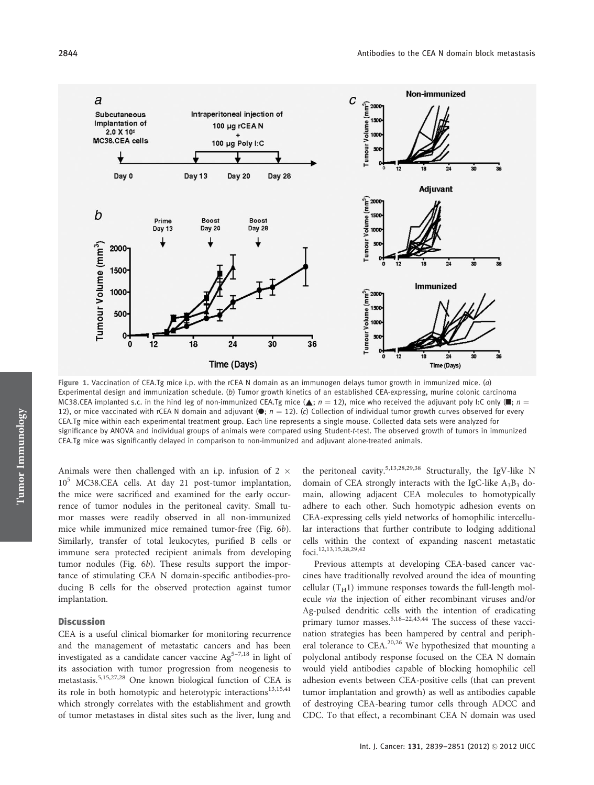

Figure 1. Vaccination of CEA.Tg mice i.p. with the rCEA N domain as an immunogen delays tumor growth in immunized mice. (a) Experimental design and immunization schedule. (b) Tumor growth kinetics of an established CEA-expressing, murine colonic carcinoma MC38.CEA implanted s.c. in the hind leg of non-immunized CEA.Tg mice ( $\blacktriangle$ ;  $n = 12$ ), mice who received the adjuvant poly I:C only ( $\blacksquare$ ;  $n =$ 12), or mice vaccinated with rCEA N domain and adjuvant  $(•; n = 12)$ . (c) Collection of individual tumor growth curves observed for every CEA.Tg mice within each experimental treatment group. Each line represents a single mouse. Collected data sets were analyzed for significance by ANOVA and individual groups of animals were compared using Student-t-test. The observed growth of tumors in immunized CEA.Tg mice was significantly delayed in comparison to non-immunized and adjuvant alone-treated animals.

Animals were then challenged with an i.p. infusion of 2  $\times$ 10<sup>5</sup> MC38.CEA cells. At day 21 post-tumor implantation, the mice were sacrificed and examined for the early occurrence of tumor nodules in the peritoneal cavity. Small tumor masses were readily observed in all non-immunized mice while immunized mice remained tumor-free (Fig. 6b). Similarly, transfer of total leukocytes, purified B cells or immune sera protected recipient animals from developing tumor nodules (Fig. 6b). These results support the importance of stimulating CEA N domain-specific antibodies-producing B cells for the observed protection against tumor implantation.

#### **Discussion**

CEA is a useful clinical biomarker for monitoring recurrence and the management of metastatic cancers and has been investigated as a candidate cancer vaccine  $Ag^{5-7,18}$  in light of its association with tumor progression from neogenesis to metastasis.5,15,27,28 One known biological function of CEA is its role in both homotypic and heterotypic interactions<sup>13,15,41</sup> which strongly correlates with the establishment and growth of tumor metastases in distal sites such as the liver, lung and

the peritoneal cavity.<sup>5,13,28,29,38</sup> Structurally, the IgV-like N domain of CEA strongly interacts with the IgC-like  $A_3B_3$  domain, allowing adjacent CEA molecules to homotypically adhere to each other. Such homotypic adhesion events on CEA-expressing cells yield networks of homophilic intercellular interactions that further contribute to lodging additional cells within the context of expanding nascent metastatic foci.<sup>12,13,15,28,29,42</sup>

Previous attempts at developing CEA-based cancer vaccines have traditionally revolved around the idea of mounting cellular  $(T_H1)$  immune responses towards the full-length molecule via the injection of either recombinant viruses and/or Ag-pulsed dendritic cells with the intention of eradicating primary tumor masses.<sup>5,18–22,43,44</sup> The success of these vaccination strategies has been hampered by central and peripheral tolerance to  $CEA$ <sup>20,26</sup> We hypothesized that mounting a polyclonal antibody response focused on the CEA N domain would yield antibodies capable of blocking homophilic cell adhesion events between CEA-positive cells (that can prevent tumor implantation and growth) as well as antibodies capable of destroying CEA-bearing tumor cells through ADCC and CDC. To that effect, a recombinant CEA N domain was used

Tumor Immunology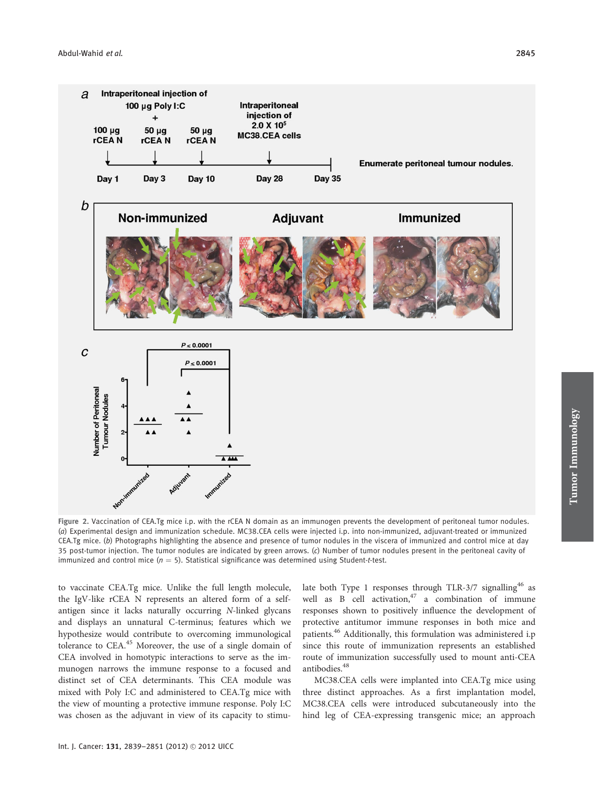

Figure 2. Vaccination of CEA.Tg mice i.p. with the rCEA N domain as an immunogen prevents the development of peritoneal tumor nodules. (a) Experimental design and immunization schedule. MC38.CEA cells were injected i.p. into non-immunized, adjuvant-treated or immunized CEA.Tg mice. (b) Photographs highlighting the absence and presence of tumor nodules in the viscera of immunized and control mice at day 35 post-tumor injection. The tumor nodules are indicated by green arrows. (c) Number of tumor nodules present in the peritoneal cavity of immunized and control mice ( $n = 5$ ). Statistical significance was determined using Student-t-test.

to vaccinate CEA.Tg mice. Unlike the full length molecule, the IgV-like rCEA N represents an altered form of a selfantigen since it lacks naturally occurring N-linked glycans and displays an unnatural C-terminus; features which we hypothesize would contribute to overcoming immunological tolerance to CEA.<sup>45</sup> Moreover, the use of a single domain of CEA involved in homotypic interactions to serve as the immunogen narrows the immune response to a focused and distinct set of CEA determinants. This CEA module was mixed with Poly I:C and administered to CEA.Tg mice with the view of mounting a protective immune response. Poly I:C was chosen as the adjuvant in view of its capacity to stimulate both Type 1 responses through TLR-3/7 signalling<sup>46</sup> as well as B cell activation,  $47$  a combination of immune responses shown to positively influence the development of protective antitumor immune responses in both mice and patients.<sup>46</sup> Additionally, this formulation was administered i.p since this route of immunization represents an established route of immunization successfully used to mount anti-CEA antibodies.<sup>48</sup>

MC38.CEA cells were implanted into CEA.Tg mice using three distinct approaches. As a first implantation model, MC38.CEA cells were introduced subcutaneously into the hind leg of CEA-expressing transgenic mice; an approach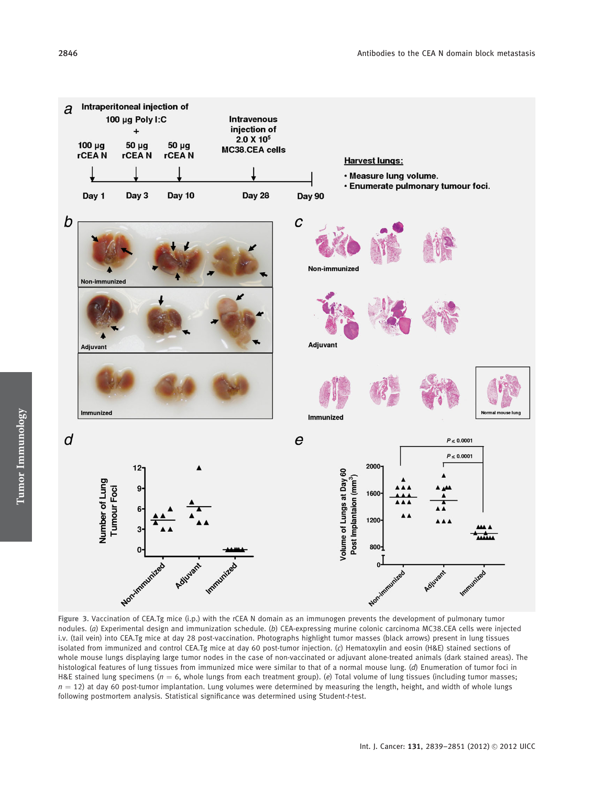

Figure 3. Vaccination of CEA.Tg mice (i.p.) with the rCEA N domain as an immunogen prevents the development of pulmonary tumor nodules. (a) Experimental design and immunization schedule. (b) CEA-expressing murine colonic carcinoma MC38.CEA cells were injected i.v. (tail vein) into CEA.Tg mice at day 28 post-vaccination. Photographs highlight tumor masses (black arrows) present in lung tissues isolated from immunized and control CEA.Tg mice at day 60 post-tumor injection. (c) Hematoxylin and eosin (H&E) stained sections of whole mouse lungs displaying large tumor nodes in the case of non-vaccinated or adjuvant alone-treated animals (dark stained areas). The histological features of lung tissues from immunized mice were similar to that of a normal mouse lung. (d) Enumeration of tumor foci in H&E stained lung specimens ( $n = 6$ , whole lungs from each treatment group). (e) Total volume of lung tissues (including tumor masses;  $n = 12$ ) at day 60 post-tumor implantation. Lung volumes were determined by measuring the length, height, and width of whole lungs following postmortem analysis. Statistical significance was determined using Student-t-test.

Tumor Immunology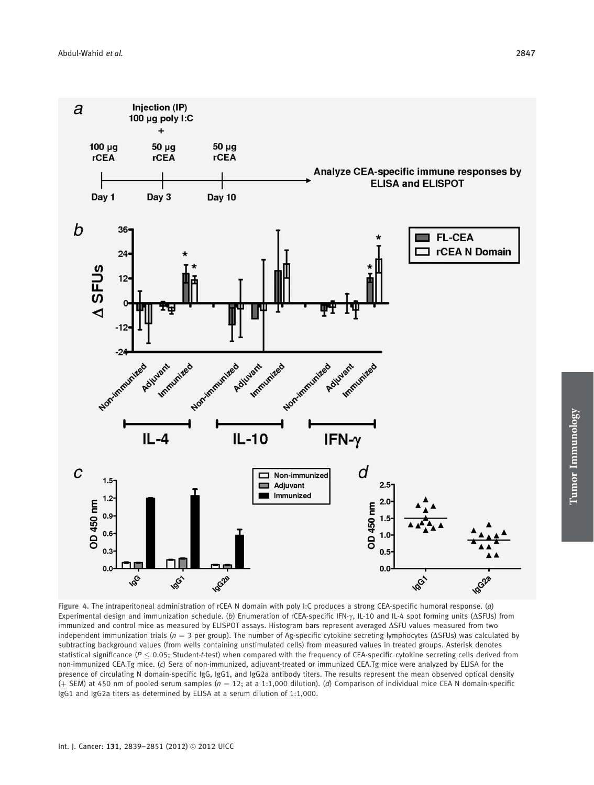

Figure 4. The intraperitoneal administration of rCEA N domain with poly I:C produces a strong CEA-specific humoral response. (a) Experimental design and immunization schedule. (b) Enumeration of rCEA-specific IFN- $\gamma$ , IL-10 and IL-4 spot forming units (ASFUs) from immunized and control mice as measured by ELISPOT assays. Histogram bars represent averaged DSFU values measured from two independent immunization trials ( $n = 3$  per group). The number of Ag-specific cytokine secreting lymphocytes ( $\Delta$ SFUs) was calculated by subtracting background values (from wells containing unstimulated cells) from measured values in treated groups. Asterisk denotes statistical significance ( $P \le 0.05$ ; Student-t-test) when compared with the frequency of CEA-specific cytokine secreting cells derived from non-immunized CEA.Tg mice. (c) Sera of non-immunized, adjuvant-treated or immunized CEA.Tg mice were analyzed by ELISA for the presence of circulating N domain-specific IgG, IgG1, and IgG2a antibody titers. The results represent the mean observed optical density (+ SEM) at 450 nm of pooled serum samples ( $n = 12$ ; at a 1:1,000 dilution). (d) Comparison of individual mice CEA N domain-specific IgG1 and IgG2a titers as determined by ELISA at a serum dilution of 1:1,000.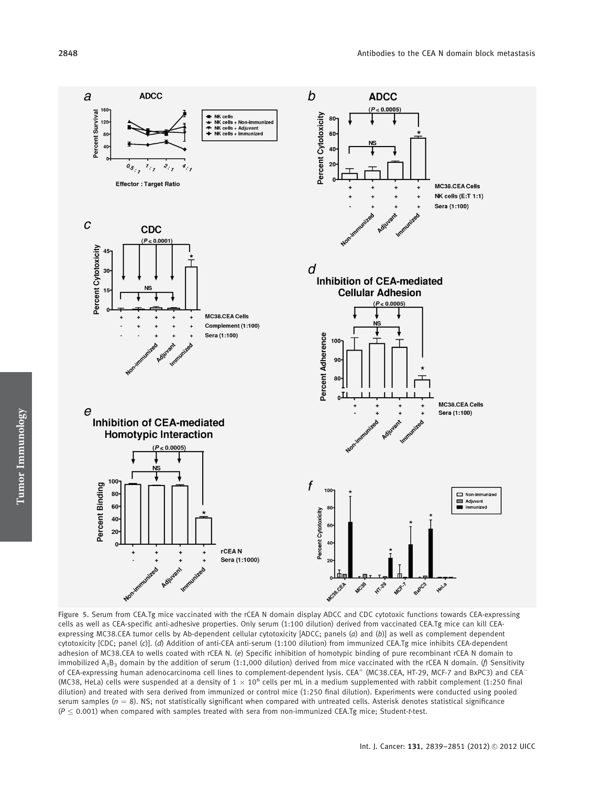

Figure 5. Serum from CEA.Tg mice vaccinated with the rCEA N domain display ADCC and CDC cytotoxic functions towards CEA-expressing cells as well as CEA-specific anti-adhesive properties. Only serum (1:100 dilution) derived from vaccinated CEA.Tg mice can kill CEAexpressing MC38.CEA tumor cells by Ab-dependent cellular cytotoxicity [ADCC; panels (a) and (b)] as well as complement dependent cytotoxicity [CDC; panel (c)]. (d) Addition of anti-CEA anti-serum (1:100 dilution) from immunized CEA.Tg mice inhibits CEA-dependent adhesion of MC38.CEA to wells coated with rCEA N. (e) Specific inhibition of homotypic binding of pure recombinant rCEA N domain to immobilized A<sub>3</sub>B<sub>3</sub> domain by the addition of serum (1:1,000 dilution) derived from mice vaccinated with the rCEA N domain. (f) Sensitivity of CEA-expressing human adenocarcinoma cell lines to complement-dependent lysis. CEA<sup>+</sup> (MC38.CEA, HT-29, MCF-7 and BxPC3) and CEA<sup>-</sup> (MC38, HeLa) cells were suspended at a density of  $1 \times 10^6$  cells per mL in a medium supplemented with rabbit complement (1:250 final dilution) and treated with sera derived from immunized or control mice (1:250 final dilution). Experiments were conducted using pooled serum samples ( $n = 8$ ). NS; not statistically significant when compared with untreated cells. Asterisk denotes statistical significance  $(P \leq 0.001)$  when compared with samples treated with sera from non-immunized CEA.Tg mice; Student-t-test.

Tumor Immunology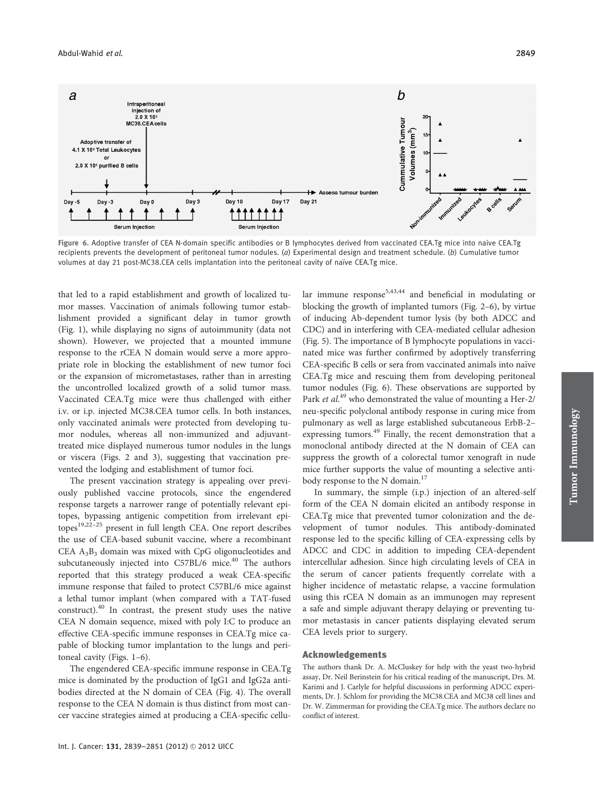

Figure 6. Adoptive transfer of CEA N-domain specific antibodies or B lymphocytes derived from vaccinated CEA.Tg mice into naive CEA.Tg recipients prevents the development of peritoneal tumor nodules.  $(a)$  Experimental design and treatment schedule.  $(b)$  Cumulative tumor volumes at day 21 post-MC38.CEA cells implantation into the peritoneal cavity of naïve CEA.Tg mice.

that led to a rapid establishment and growth of localized tumor masses. Vaccination of animals following tumor establishment provided a significant delay in tumor growth (Fig. 1), while displaying no signs of autoimmunity (data not shown). However, we projected that a mounted immune response to the rCEA N domain would serve a more appropriate role in blocking the establishment of new tumor foci or the expansion of micrometastases, rather than in arresting the uncontrolled localized growth of a solid tumor mass. Vaccinated CEA.Tg mice were thus challenged with either i.v. or i.p. injected MC38.CEA tumor cells. In both instances, only vaccinated animals were protected from developing tumor nodules, whereas all non-immunized and adjuvanttreated mice displayed numerous tumor nodules in the lungs or viscera (Figs. 2 and 3), suggesting that vaccination prevented the lodging and establishment of tumor foci.

The present vaccination strategy is appealing over previously published vaccine protocols, since the engendered response targets a narrower range of potentially relevant epitopes, bypassing antigenic competition from irrelevant epitopes<sup>19,22-25</sup> present in full length CEA. One report describes the use of CEA-based subunit vaccine, where a recombinant CEA  $A_3B_3$  domain was mixed with CpG oligonucleotides and subcutaneously injected into C57BL/6 mice.<sup>40</sup> The authors reported that this strategy produced a weak CEA-specific immune response that failed to protect C57BL/6 mice against a lethal tumor implant (when compared with a TAT-fused construct).<sup>40</sup> In contrast, the present study uses the native CEA N domain sequence, mixed with poly I:C to produce an effective CEA-specific immune responses in CEA.Tg mice capable of blocking tumor implantation to the lungs and peritoneal cavity (Figs. 1–6).

The engendered CEA-specific immune response in CEA.Tg mice is dominated by the production of IgG1 and IgG2a antibodies directed at the N domain of CEA (Fig. 4). The overall response to the CEA N domain is thus distinct from most cancer vaccine strategies aimed at producing a CEA-specific cellular immune response<sup>5,43,44</sup> and beneficial in modulating or blocking the growth of implanted tumors (Fig. 2–6), by virtue of inducing Ab-dependent tumor lysis (by both ADCC and CDC) and in interfering with CEA-mediated cellular adhesion (Fig. 5). The importance of B lymphocyte populations in vaccinated mice was further confirmed by adoptively transferring CEA-specific B cells or sera from vaccinated animals into naïve CEA.Tg mice and rescuing them from developing peritoneal tumor nodules (Fig. 6). These observations are supported by Park et al.<sup>49</sup> who demonstrated the value of mounting a Her-2/ neu-specific polyclonal antibody response in curing mice from pulmonary as well as large established subcutaneous ErbB-2– expressing tumors.<sup>49</sup> Finally, the recent demonstration that a monoclonal antibody directed at the N domain of CEA can suppress the growth of a colorectal tumor xenograft in nude mice further supports the value of mounting a selective antibody response to the N domain.<sup>17</sup>

In summary, the simple (i.p.) injection of an altered-self form of the CEA N domain elicited an antibody response in CEA.Tg mice that prevented tumor colonization and the development of tumor nodules. This antibody-dominated response led to the specific killing of CEA-expressing cells by ADCC and CDC in addition to impeding CEA-dependent intercellular adhesion. Since high circulating levels of CEA in the serum of cancer patients frequently correlate with a higher incidence of metastatic relapse, a vaccine formulation using this rCEA N domain as an immunogen may represent a safe and simple adjuvant therapy delaying or preventing tumor metastasis in cancer patients displaying elevated serum CEA levels prior to surgery.

## Acknowledgements

The authors thank Dr. A. McCluskey for help with the yeast two-hybrid assay, Dr. Neil Berinstein for his critical reading of the manuscript, Drs. M. Karimi and J. Carlyle for helpful discussions in performing ADCC experiments, Dr. J. Schlom for providing the MC38.CEA and MC38 cell lines and Dr. W. Zimmerman for providing the CEA.Tg mice. The authors declare no conflict of interest.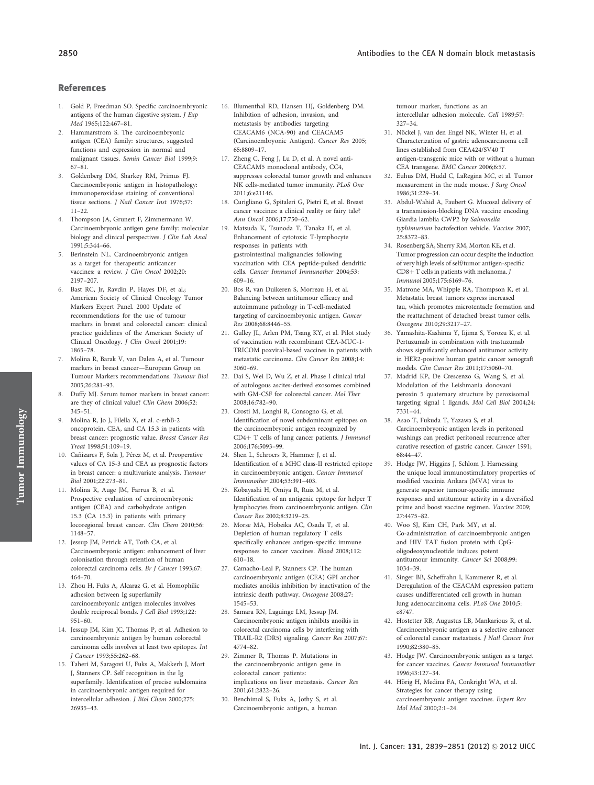## References

- 1. Gold P, Freedman SO. Specific carcinoembryonic antigens of the human digestive system. J Exp Med 1965;122:467–81.
- 2. Hammarstrom S. The carcinoembryonic antigen (CEA) family: structures, suggested functions and expression in normal and malignant tissues. Semin Cancer Biol 1999;9: 67–81.
- 3. Goldenberg DM, Sharkey RM, Primus FJ. Carcinoembryonic antigen in histopathology: immunoperoxidase staining of conventional tissue sections. J Natl Cancer Inst 1976;57: 11–22.
- 4. Thompson JA, Grunert F, Zimmermann W. Carcinoembryonic antigen gene family: molecular biology and clinical perspectives. J Clin Lab Anal 1991;5:344–66.
- 5. Berinstein NL. Carcinoembryonic antigen as a target for therapeutic anticancer vaccines: a review. *J Clin Oncol* 2002;20: 2197–207.
- 6. Bast RC, Jr, Ravdin P, Hayes DF, et al.; American Society of Clinical Oncology Tumor Markers Expert Panel. 2000 Update of recommendations for the use of tumour markers in breast and colorectal cancer: clinical practice guidelines of the American Society of Clinical Oncology. J Clin Oncol 2001;19: 1865–78.
- 7. Molina R, Barak V, van Dalen A, et al. Tumour markers in breast cancer—European Group on Tumour Markers recommendations. Tumour Biol 2005;26:281–93.
- 8. Duffy MJ. Serum tumor markers in breast cancer: are they of clinical value? Clin Chem 2006;52: 345–51.
- 9. Molina R, Jo J, Filella X, et al. c-erbB-2 oncoprotein, CEA, and CA 15.3 in patients with breast cancer: prognostic value. Breast Cancer Res Treat 1998;51:109–19.
- 10. Cañizares F, Sola J, Pérez M, et al. Preoperative values of CA 15-3 and CEA as prognostic factors in breast cancer: a multivariate analysis. Tumour Biol 2001;22:273–81.
- 11. Molina R, Auge JM, Farrus B, et al. Prospective evaluation of carcinoembryonic antigen (CEA) and carbohydrate antigen 15.3 (CA 15.3) in patients with primary locoregional breast cancer. Clin Chem 2010;56: 1148–57.
- 12. Jessup JM, Petrick AT, Toth CA, et al. Carcinoembryonic antigen: enhancement of liver colonisation through retention of human colorectal carcinoma cells. Br J Cancer 1993;67: 464–70.
- 13. Zhou H, Fuks A, Alcaraz G, et al. Homophilic adhesion between Ig superfamily carcinoembryonic antigen molecules involves double reciprocal bonds. J Cell Biol 1993;122: 951–60.
- 14. Jessup JM, Kim JC, Thomas P, et al. Adhesion to carcinoembryonic antigen by human colorectal carcinoma cells involves at least two epitopes. Int J Cancer 1993;55:262–68.
- 15. Taheri M, Saragovi U, Fuks A, Makkerh J, Mort J, Stanners CP. Self recognition in the Ig superfamily. Identification of precise subdomains in carcinoembryonic antigen required for intercellular adhesion. J Biol Chem 2000;275: 26935–43.
- 16. Blumenthal RD, Hansen HJ, Goldenberg DM. Inhibition of adhesion, invasion, and metastasis by antibodies targeting CEACAM6 (NCA-90) and CEACAM5 (Carcinoembryonic Antigen). Cancer Res 2005; 65:8809–17.
- 17. Zheng C, Feng J, Lu D, et al. A novel anti-CEACAM5 monoclonal antibody, CC4, suppresses colorectal tumor growth and enhances NK cells-mediated tumor immunity. PLoS One 2011;6:e21146.
- 18. Curigliano G, Spitaleri G, Pietri E, et al. Breast cancer vaccines: a clinical reality or fairy tale? Ann Oncol 2006;17:750–62.
- 19. Matsuda K, Tsunoda T, Tanaka H, et al. Enhancement of cytotoxic T-lymphocyte responses in patients with gastrointestinal malignancies following vaccination with CEA peptide-pulsed dendritic cells. Cancer Immunol Immunother 2004;53: 609–16.
- 20. Bos R, van Duikeren S, Morreau H, et al. Balancing between antitumour efficacy and autoimmune pathology in T-cell-mediated targeting of carcinoembryonic antigen. Cancer Res 2008;68:8446–55.
- 21. Gulley JL, Arlen PM, Tsang KY, et al. Pilot study of vaccination with recombinant CEA-MUC-1- TRICOM poxviral-based vaccines in patients with metastatic carcinoma. Clin Cancer Res 2008;14: 3060–69.
- 22. Dai S, Wei D, Wu Z, et al. Phase I clinical trial of autologous ascites-derived exosomes combined with GM-CSF for colorectal cancer. Mol Ther 2008;16:782–90.
- 23. Crosti M, Longhi R, Consogno G, et al. Identification of novel subdominant epitopes on the carcinoembryonic antigen recognized by CD4+ T cells of lung cancer patients. J Immunol 2006;176:5093–99.
- Shen L, Schroers R, Hammer J, et al. Identification of a MHC class-II restricted epitope in carcinoembryonic antigen. Cancer Immunol Immunother 2004;53:391–403.
- 25. Kobayashi H, Omiya R, Ruiz M, et al. Identification of an antigenic epitope for helper T lymphocytes from carcinoembryonic antigen. Clin Cancer Res 2002;8:3219–25.
- 26. Morse MA, Hobeika AC, Osada T, et al. Depletion of human regulatory T cells specifically enhances antigen-specific immune responses to cancer vaccines. Blood 2008;112: 610–18.
- 27. Camacho-Leal P, Stanners CP. The human carcinoembryonic antigen (CEA) GPI anchor mediates anoikis inhibition by inactivation of the intrinsic death pathway. Oncogene 2008;27: 1545–53.
- 28. Samara RN, Laguinge LM, Jessup JM. Carcinoembryonic antigen inhibits anoikis in colorectal carcinoma cells by interfering with TRAIL-R2 (DR5) signaling. Cancer Res 2007;67: 4774–82.
- 29. Zimmer R, Thomas P. Mutations in the carcinoembryonic antigen gene in colorectal cancer patients: implications on liver metastasis. Cancer Res 2001;61:2822–26.
- 30. Benchimol S, Fuks A, Jothy S, et al. Carcinoembryonic antigen, a human

tumour marker, functions as an intercellular adhesion molecule. Cell 1989;57: 327–34.

- 31. Nöckel J, van den Engel NK, Winter H, et al. Characterization of gastric adenocarcinoma cell lines established from CEA424/SV40 T antigen-transgenic mice with or without a human CEA transgene. BMC Cancer 2006;6:57.
- 32. Euhus DM, Hudd C, LaRegina MC, et al. Tumor measurement in the nude mouse. J Surg Oncol 1986;31:229–34.
- 33. Abdul-Wahid A, Faubert G. Mucosal delivery of a transmission-blocking DNA vaccine encoding Giardia lamblia CWP2 by Salmonella typhimurium bactofection vehicle. Vaccine 2007; 25:8372–83.
- 34. Rosenberg SA, Sherry RM, Morton KE, et al. Tumor progression can occur despite the induction of very high levels of self/tumor antigen-specific  $CD8 + T$  cells in patients with melanoma.  $J$ Immunol 2005;175:6169–76.
- 35. Matrone MA, Whipple RA, Thompson K, et al. Metastatic breast tumors express increased tau, which promotes microtentacle formation and the reattachment of detached breast tumor cells. Oncogene 2010;29:3217–27.
- 36. Yamashita-Kashima Y, Iijima S, Yorozu K, et al. Pertuzumab in combination with trastuzumab shows significantly enhanced antitumor activity in HER2-positive human gastric cancer xenograft models. Clin Cancer Res 2011;17:5060–70.
- 37. Madrid KP, De Crescenzo G, Wang S, et al. Modulation of the Leishmania donovani peroxin 5 quaternary structure by peroxisomal targeting signal 1 ligands. Mol Cell Biol 2004;24: 7331–44.
- 38. Asao T, Fukuda T, Yazawa S, et al. Carcinoembryonic antigen levels in peritoneal washings can predict peritoneal recurrence after curative resection of gastric cancer. Cancer 1991; 68:44–47.
- 39. Hodge JW, Higgins J, Schlom J. Harnessing the unique local immunostimulatory properties of modified vaccinia Ankara (MVA) virus to generate superior tumour-specific immune responses and antitumour activity in a diversified prime and boost vaccine regimen. Vaccine 2009; 27:4475–82.
- 40. Woo SJ, Kim CH, Park MY, et al. Co-administration of carcinoembryonic antigen and HIV TAT fusion protein with CpGoligodeoxynucleotide induces potent antitumour immunity. Cancer Sci 2008;99: 1034–39.
- 41. Singer BB, Scheffrahn I, Kammerer R, et al. Deregulation of the CEACAM expression pattern causes undifferentiated cell growth in human lung adenocarcinoma cells. PLoS One 2010;5: e8747.
- 42. Hostetter RB, Augustus LB, Mankarious R, et al. Carcinoembryonic antigen as a selective enhancer of colorectal cancer metastasis. J Natl Cancer Inst 1990;82:380–85.
- 43. Hodge JW. Carcinoembryonic antigen as a target for cancer vaccines. Cancer Immunol Immunother 1996;43:127–34.
- 44. Hörig H, Medina FA, Conkright WA, et al. Strategies for cancer therapy using carcinoembryonic antigen vaccines. Expert Rev Mol Med 2000;2:1–24.